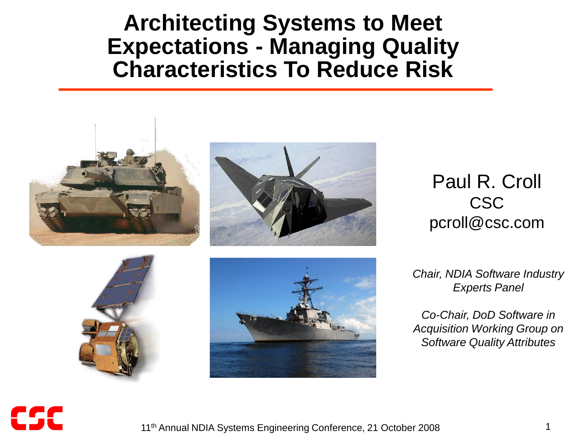#### **Architecting Systems to Meet Expectations - Managing Quality Characteristics To Reduce Risk**





Paul R. Croll CSC pcroll@csc.com





*Chair, NDIA Software Industry Experts Panel*

*Co-Chair, DoD Software in Acquisition Working Group on Software Quality Attributes*

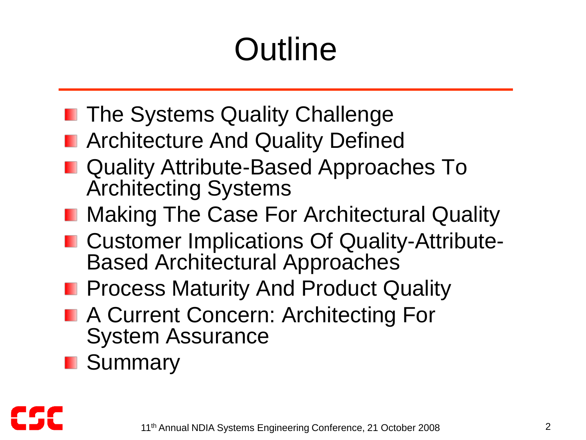# **Outline**

- **The Systems Quality Challenge**
- **n** Architecture And Quality Defined
- Quality Attribute-Based Approaches To Architecting Systems
- **Making The Case For Architectural Quality**
- Customer Implications Of Quality-Attribute-Based Architectural Approaches
- **Process Maturity And Product Quality**
- **A Current Concern: Architecting For** System Assurance
- **Summary**

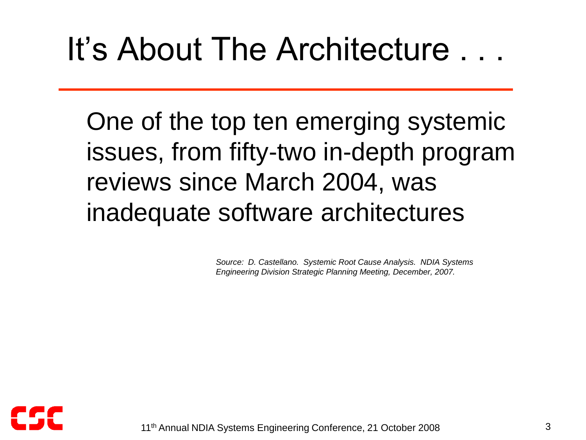## It's About The Architecture . . .

 One of the top ten emerging systemic issues, from fifty-two in-depth program reviews since March 2004, was inadequate software architectures

> *Source: D. Castellano. Systemic Root Cause Analysis. NDIA Systems Engineering Division Strategic Planning Meeting, December, 2007.*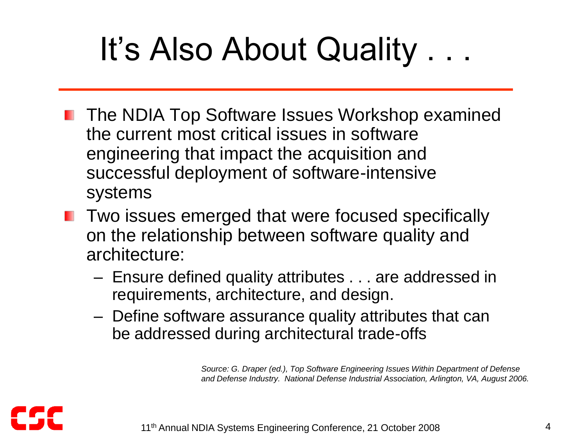# It's Also About Quality . . .

- **The NDIA Top Software Issues Workshop examined** the current most critical issues in software engineering that impact the acquisition and successful deployment of software-intensive systems
- **The Two issues emerged that were focused specifically** on the relationship between software quality and architecture:
	- Ensure defined quality attributes . . . are addressed in requirements, architecture, and design.
	- Define software assurance quality attributes that can be addressed during architectural trade-offs

*Source: G. Draper (ed.), Top Software Engineering Issues Within Department of Defense and Defense Industry. National Defense Industrial Association, Arlington, VA, August 2006.*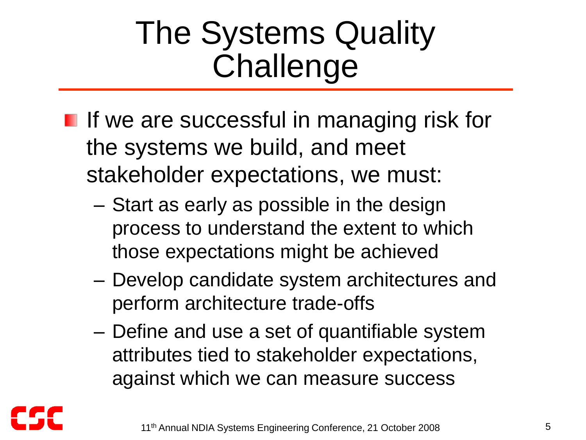## The Systems Quality Challenge

- **If we are successful in managing risk for** the systems we build, and meet stakeholder expectations, we must:
	- Start as early as possible in the design process to understand the extent to which those expectations might be achieved
	- Develop candidate system architectures and perform architecture trade-offs
	- Define and use a set of quantifiable system attributes tied to stakeholder expectations, against which we can measure success

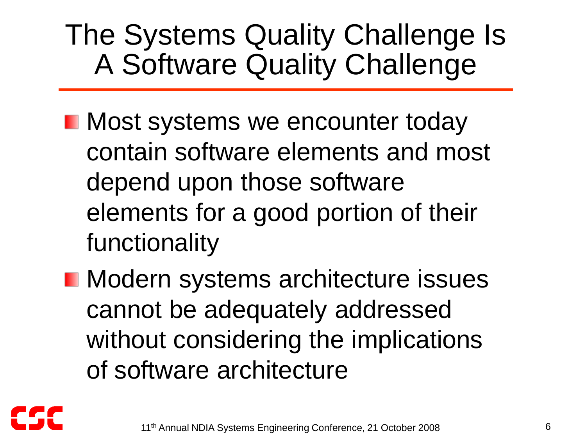### The Systems Quality Challenge Is A Software Quality Challenge

**Nost systems we encounter today** contain software elements and most depend upon those software elements for a good portion of their functionality

**Nodern systems architecture issues** cannot be adequately addressed without considering the implications of software architecture

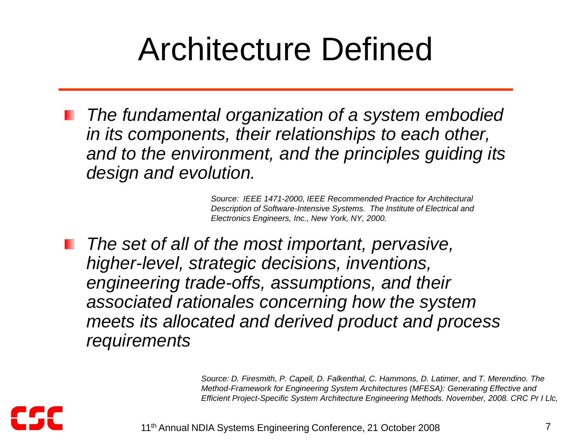## Architecture Defined

*The fundamental organization of a system embodied in its components, their relationships to each other, and to the environment, and the principles guiding its design and evolution.*

> *Source: IEEE 1471-2000, IEEE Recommended Practice for Architectural Description of Software-Intensive Systems. The Institute of Electrical and Electronics Engineers, Inc., New York, NY, 2000.*

*The set of all of the most important, pervasive, higher-level, strategic decisions, inventions, engineering trade-offs, assumptions, and their associated rationales concerning how the system meets its allocated and derived product and process requirements*

> *Source: D. Firesmith, P. Capell, D. Falkenthal, C. Hammons, D. Latimer, and T. Merendino. The Method-Framework for Engineering System Architectures (MFESA): Generating Effective and Efficient Project-Specific System Architecture Engineering Methods. November, 2008. CRC Pr I Llc,*

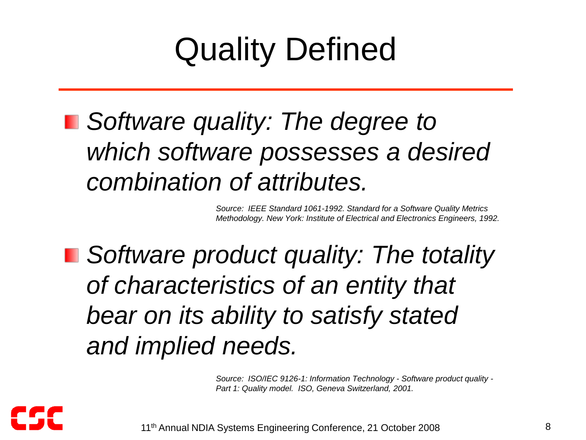# Quality Defined

*Software quality: The degree to which software possesses a desired combination of attributes.*

> *Source: IEEE Standard 1061-1992. Standard for a Software Quality Metrics Methodology. New York: Institute of Electrical and Electronics Engineers, 1992.*

*Software product quality: The totality of characteristics of an entity that bear on its ability to satisfy stated and implied needs.*

> *Source: ISO/IEC 9126-1: Information Technology - Software product quality - Part 1: Quality model. ISO, Geneva Switzerland, 2001.*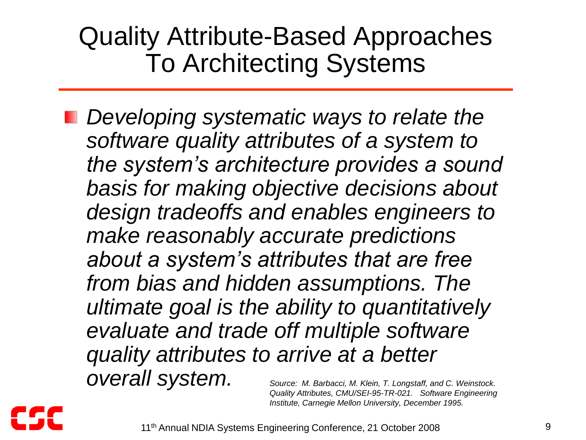#### Quality Attribute-Based Approaches To Architecting Systems

*Developing systematic ways to relate the software quality attributes of a system to the system's architecture provides a sound basis for making objective decisions about design tradeoffs and enables engineers to make reasonably accurate predictions about a system's attributes that are free from bias and hidden assumptions. The ultimate goal is the ability to quantitatively evaluate and trade off multiple software quality attributes to arrive at a better overall system. Source: M. Barbacci, M. Klein, T. Longstaff, and C. Weinstock. Quality Attributes, CMU/SEI-95-TR-021. Software Engineering* 



11<sup>th</sup> Annual NDIA Systems Engineering Conference, 21 October 2008 9

*Institute, Carnegie Mellon University, December 1995.*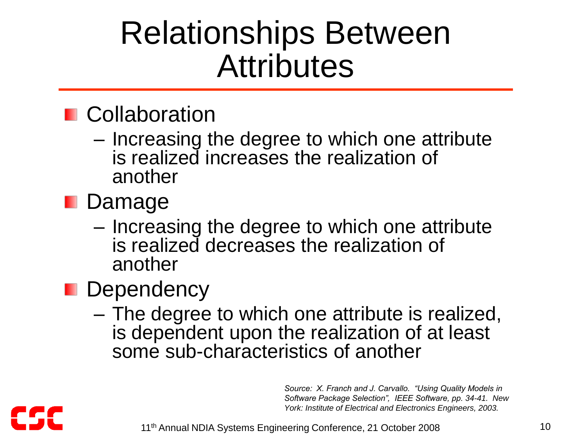### Relationships Between **Attributes**

#### **n** Collaboration

- Increasing the degree to which one attribute is realized increases the realization of another
- Damage
	- Increasing the degree to which one attribute is realized decreases the realization of another
- **Dependency** 
	- The degree to which one attribute is realized, is dependent upon the realization of at least some sub-characteristics of another

*Source: X. Franch and J. Carvallo. "Using Quality Models in Software Package Selection", IEEE Software, pp. 34-41. New York: Institute of Electrical and Electronics Engineers, 2003.*

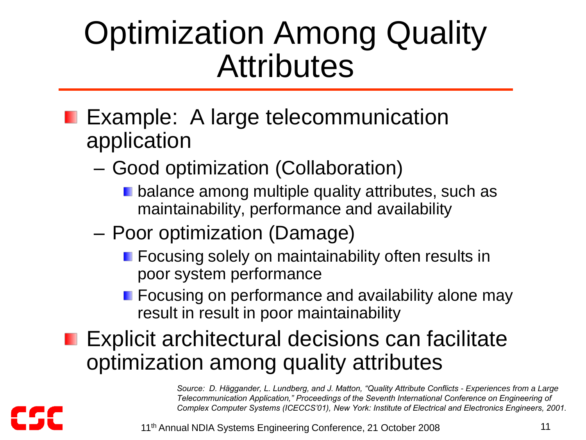## Optimization Among Quality **Attributes**

- **Example: A large telecommunication** application
	- Good optimization (Collaboration)
		- **D** balance among multiple quality attributes, such as maintainability, performance and availability
	- Poor optimization (Damage)
		- **F** Focusing solely on maintainability often results in poor system performance
		- **Fig. 2** Focusing on performance and availability alone may result in result in poor maintainability
- Explicit architectural decisions can facilitate optimization among quality attributes

*Source: D. Häggander, L. Lundberg, and J. Matton, "Quality Attribute Conflicts - Experiences from a Large Telecommunication Application," Proceedings of the Seventh International Conference on Engineering of Complex Computer Systems (ICECCS'01), New York: Institute of Electrical and Electronics Engineers, 2001.*

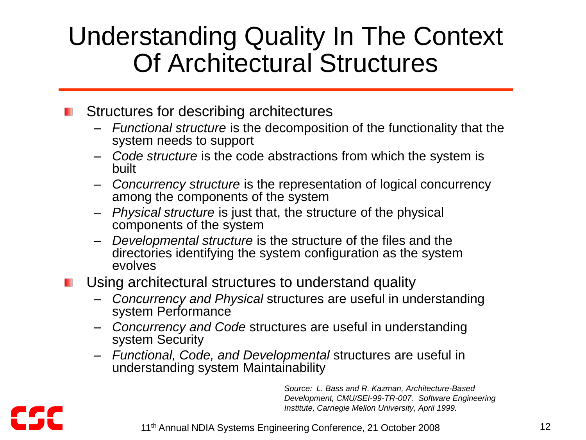#### Understanding Quality In The Context Of Architectural Structures

#### Structures for describing architectures

- *Functional structure* is the decomposition of the functionality that the system needs to support
- *Code structure* is the code abstractions from which the system is built
- *Concurrency structure* is the representation of logical concurrency among the components of the system
- *Physical structure* is just that, the structure of the physical components of the system
- *Developmental structure* is the structure of the files and the directories identifying the system configuration as the system evolves
- Using architectural structures to understand quality
	- *Concurrency and Physical* structures are useful in understanding system Performance
	- *Concurrency and Code* structures are useful in understanding system Security
	- *Functional, Code, and Developmental* structures are useful in understanding system Maintainability

*Source: L. Bass and R. Kazman, Architecture-Based Development, CMU/SEI-99-TR-007. Software Engineering Institute, Carnegie Mellon University, April 1999.*

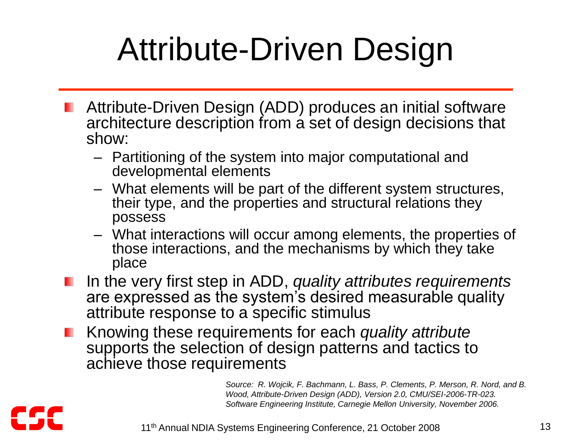# Attribute-Driven Design

- Attribute-Driven Design (ADD) produces an initial software architecture description from a set of design decisions that show:
	- Partitioning of the system into major computational and developmental elements
	- What elements will be part of the different system structures, their type, and the properties and structural relations they possess
	- What interactions will occur among elements, the properties of those interactions, and the mechanisms by which they take place
- In the very first step in ADD, *quality attributes requirements* are expressed as the system's desired measurable quality attribute response to a specific stimulus
- Knowing these requirements for each *quality attribute* supports the selection of design patterns and tactics to achieve those requirements

*Source: R. Wojcik, F. Bachmann, L. Bass, P. Clements, P. Merson, R. Nord, and B. Wood, Attribute-Driven Design (ADD), Version 2.0, CMU/SEI-2006-TR-023. Software Engineering Institute, Carnegie Mellon University, November 2006.*

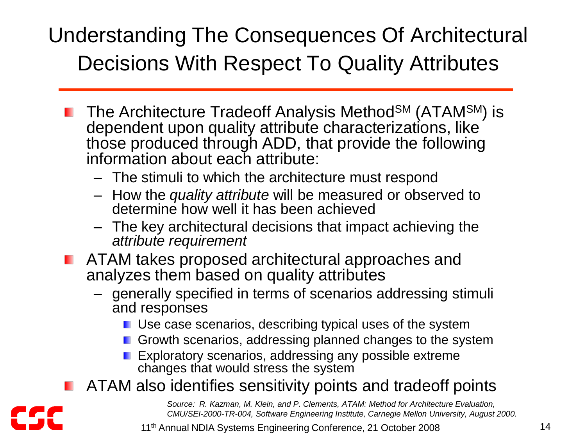#### Understanding The Consequences Of Architectural Decisions With Respect To Quality Attributes

- The Architecture Tradeoff Analysis Method<sup>SM</sup> (ATAM<sup>SM</sup>) is dependent upon quality attribute characterizations, like those produced through ADD, that provide the following information about each attribute:
	- The stimuli to which the architecture must respond
	- How the *quality attribute* will be measured or observed to determine how well it has been achieved
	- The key architectural decisions that impact achieving the *attribute requirement*
- **ATAM takes proposed architectural approaches and** analyzes them based on quality attributes
	- generally specified in terms of scenarios addressing stimuli and responses
		- **Use case scenarios, describing typical uses of the system**
		- Growth scenarios, addressing planned changes to the system
		- **EXploratory scenarios, addressing any possible extreme** changes that would stress the system
- ATAM also identifies sensitivity points and tradeoff points

*Source: R. Kazman, M. Klein, and P. Clements, ATAM: Method for Architecture Evaluation, CMU/SEI-2000-TR-004, Software Engineering Institute, Carnegie Mellon University, August 2000.*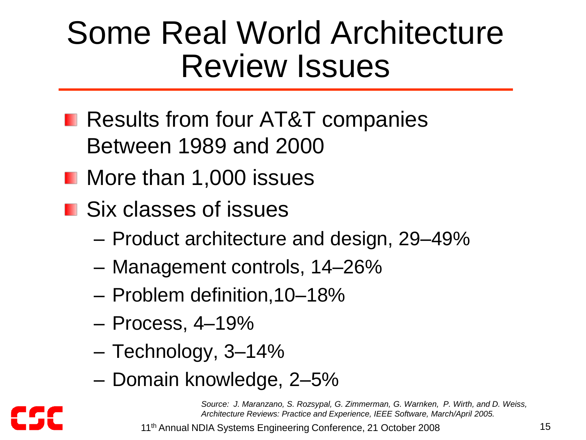## Some Real World Architecture Review Issues

- **Results from four AT&T companies** Between 1989 and 2000
- **Nore than 1,000 issues**
- Six classes of issues
	- Product architecture and design, 29–49%
	- Management controls, 14–26%
	- Problem definition,10–18%
	- Process, 4–19%
	- Technology, 3–14%
	- Domain knowledge, 2–5%

*Source: J. Maranzano, S. Rozsypal, G. Zimmerman, G. Warnken, P. Wirth, and D. Weiss, Architecture Reviews: Practice and Experience, IEEE Software, March/April 2005.*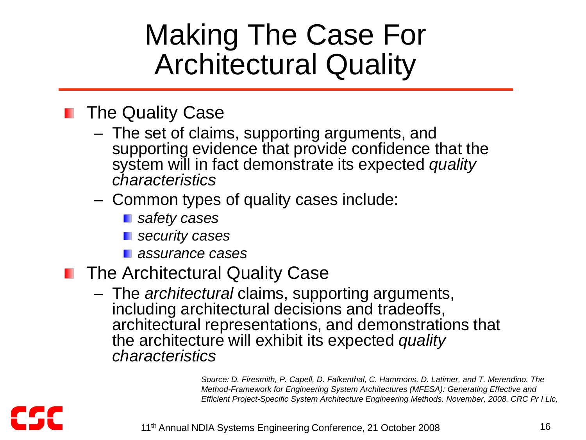### Making The Case For Architectural Quality

#### **The Quality Case**

– The set of claims, supporting arguments, and supporting evidence that provide confidence that the system will in fact demonstrate its expected *quality characteristics*

#### – Common types of quality cases include:

- *safety cases*
- *security cases*
- *assurance cases*
- **The Architectural Quality Case** 
	- The *architectural* claims, supporting arguments, including architectural decisions and tradeoffs, architectural representations, and demonstrations that the architecture will exhibit its expected *quality characteristics*

*Source: D. Firesmith, P. Capell, D. Falkenthal, C. Hammons, D. Latimer, and T. Merendino. The Method-Framework for Engineering System Architectures (MFESA): Generating Effective and Efficient Project-Specific System Architecture Engineering Methods. November, 2008. CRC Pr I Llc,*

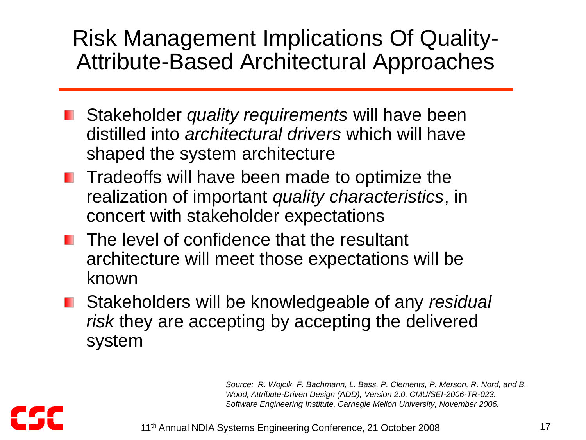#### Risk Management Implications Of Quality-Attribute-Based Architectural Approaches

- Stakeholder *quality requirements* will have been distilled into *architectural drivers* which will have shaped the system architecture
- **Theory 10 Tradeoffs will have been made to optimize the** realization of important *quality characteristics*, in concert with stakeholder expectations
- The level of confidence that the resultant architecture will meet those expectations will be known
- Stakeholders will be knowledgeable of any *residual risk* they are accepting by accepting the delivered system

*Source: R. Wojcik, F. Bachmann, L. Bass, P. Clements, P. Merson, R. Nord, and B. Wood, Attribute-Driven Design (ADD), Version 2.0, CMU/SEI-2006-TR-023. Software Engineering Institute, Carnegie Mellon University, November 2006.*

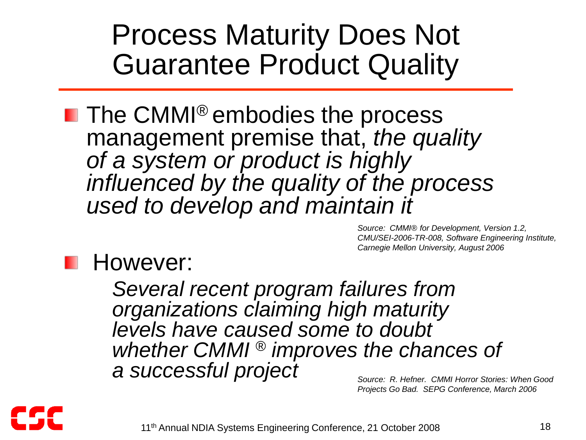### Process Maturity Does Not Guarantee Product Quality

**The CMMI<sup>®</sup> embodies the process** management premise that, *the quality of a system or product is highly influenced by the quality of the process used to develop and maintain it*

> *Source: CMMI® for Development, Version 1.2, CMU/SEI-2006-TR-008, Software Engineering Institute, Carnegie Mellon University, August 2006*

#### However:

– *Several recent program failures from organizations claiming high maturity levels have caused some to doubt whether CMMI* ® *improves the chances of a successful project*

*Source: R. Hefner. CMMI Horror Stories: When Good Projects Go Bad. SEPG Conference, March 2006*

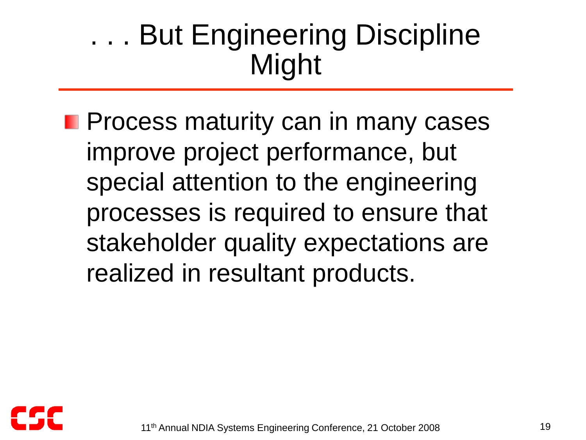### . . . But Engineering Discipline Might

**Process maturity can in many cases** improve project performance, but special attention to the engineering processes is required to ensure that stakeholder quality expectations are realized in resultant products.

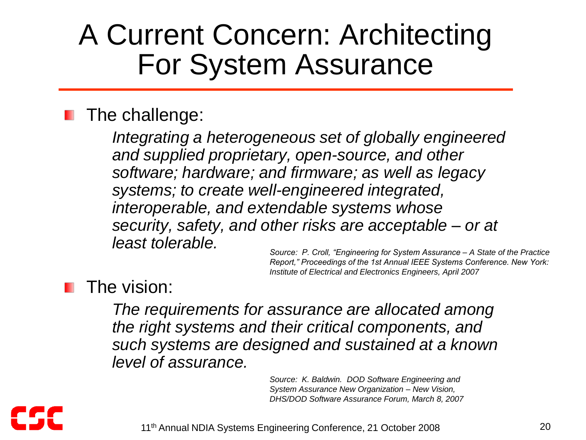### A Current Concern: Architecting For System Assurance

#### The challenge:

– *Integrating a heterogeneous set of globally engineered and supplied proprietary, open-source, and other software; hardware; and firmware; as well as legacy systems; to create well-engineered integrated, interoperable, and extendable systems whose security, safety, and other risks are acceptable – or at least tolerable.*

*Source: P. Croll, "Engineering for System Assurance – A State of the Practice Report," Proceedings of the 1st Annual IEEE Systems Conference. New York: Institute of Electrical and Electronics Engineers, April 2007*

#### The vision:

– *The requirements for assurance are allocated among the right systems and their critical components, and such systems are designed and sustained at a known level of assurance.*

> *Source: K. Baldwin. DOD Software Engineering and System Assurance New Organization – New Vision, DHS/DOD Software Assurance Forum, March 8, 2007*

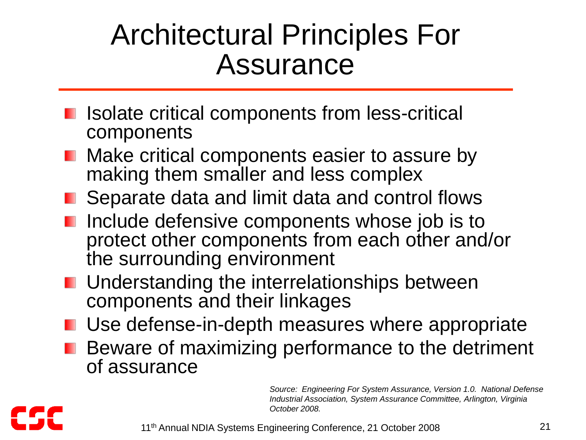### Architectural Principles For Assurance

- **I** Isolate critical components from less-critical components
- **Make critical components easier to assure by** making them smaller and less complex
- Separate data and limit data and control flows
- **I** Include defensive components whose job is to protect other components from each other and/or the surrounding environment
- **L** Understanding the interrelationships between components and their linkages
- **Use defense-in-depth measures where appropriate**
- **Beware of maximizing performance to the detriment** of assurance

*Source: Engineering For System Assurance, Version 1.0. National Defense Industrial Association, System Assurance Committee, Arlington, Virginia October 2008.*

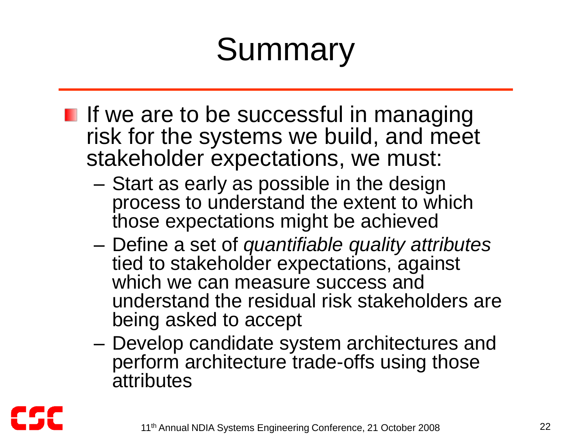# Summary

- I If we are to be successful in managing risk for the systems we build, and meet stakeholder expectations, we must:
	- Start as early as possible in the design process to understand the extent to which those expectations might be achieved
	- Define a set of *quantifiable quality attributes* tied to stakeholder expectations, against which we can measure success and understand the residual risk stakeholders are being asked to accept
	- Develop candidate system architectures and perform architecture trade-offs using those **attributes**